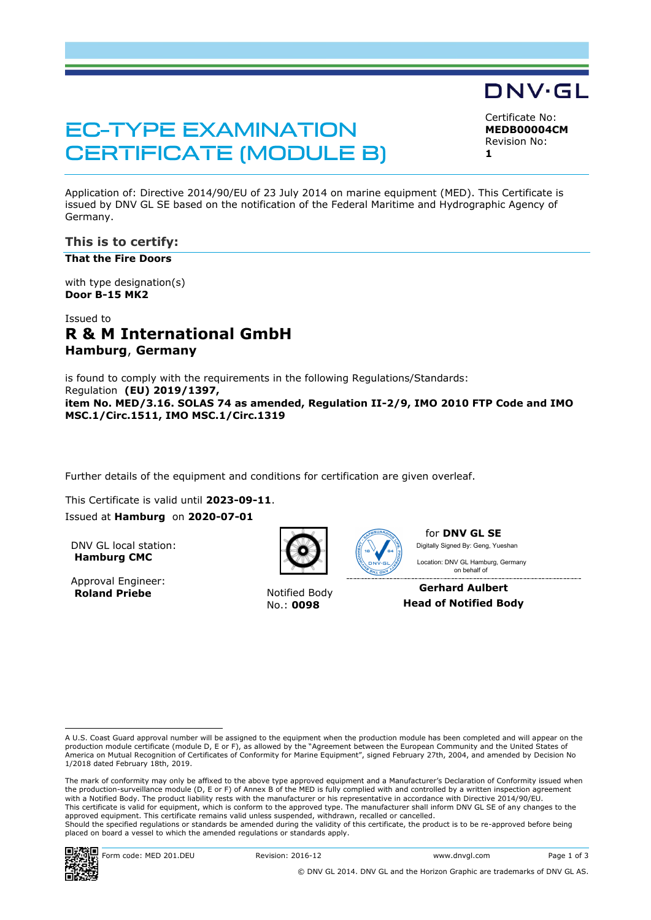# **EC-TYPE EXAMINATION CERTIFICATE (MODULE B)**

Certificate No:

DNV·GL

**MEDB00004CM** Revision No: **1**

Application of: Directive 2014/90/EU of 23 July 2014 on marine equipment (MED). This Certificate is issued by DNV GL SE based on the notification of the Federal Maritime and Hydrographic Agency of Germany.

### **This is to certify:**

**That the Fire Doors**

with type designation(s) **Door B-15 MK2**

# Issued to **R & M International GmbH Hamburg**, **Germany**

is found to comply with the requirements in the following Regulations/Standards: Regulation **(EU) 2019/1397, item No. MED/3.16. SOLAS 74 as amended, Regulation II-2/9, IMO 2010 FTP Code and IMO MSC.1/Circ.1511, IMO MSC.1/Circ.1319**

Further details of the equipment and conditions for certification are given overleaf.

This Certificate is valid until **2023-09-11**.

Issued at **Hamburg** on **2020-07-01**

DNV GL local station: **Hamburg CMC**

Approval Engineer: **Roland Priebe** Notified Body



No.: **0098**



for **DNV GL SE** Digitally Signed By: Geng, Yueshan

 on behalf ofLocation: DNV GL Hamburg, Germany

**Gerhard Aulbert Head of Notified Body**

The mark of conformity may only be affixed to the above type approved equipment and a Manufacturer's Declaration of Conformity issued when the production-surveillance module (D, E or F) of Annex B of the MED is fully complied with and controlled by a written inspection agreement with a Notified Body. The product liability rests with the manufacturer or his representative in accordance with Directive 2014/90/EU. This certificate is valid for equipment, which is conform to the approved type. The manufacturer shall inform DNV GL SE of any changes to the approved equipment. This certificate remains valid unless suspended, withdrawn, recalled or cancelled. Should the specified regulations or standards be amended during the validity of this certificate, the product is to be re-approved before being placed on board a vessel to which the amended regulations or standards apply.



A U.S. Coast Guard approval number will be assigned to the equipment when the production module has been completed and will appear on the production module certificate (module D, E or F), as allowed by the "Agreement between the European Community and the United States of<br>America on Mutual Recognition of Certificates of Conformity for Marine Equipment", sign 1/2018 dated February 18th, 2019.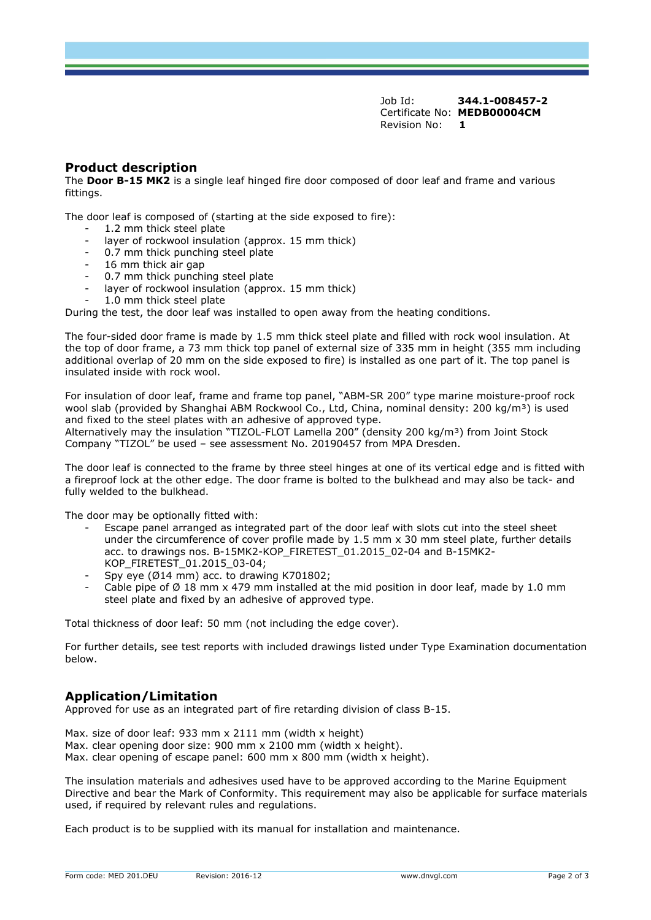Job Id: **344.1-008457-2** Certificate No: **MEDB00004CM** Revision No: **1**

#### **Product description**

The **Door B-15 MK2** is a single leaf hinged fire door composed of door leaf and frame and various fittings.

The door leaf is composed of (starting at the side exposed to fire):

- 1.2 mm thick steel plate
- layer of rockwool insulation (approx. 15 mm thick)
- 0.7 mm thick punching steel plate
- 16 mm thick air gap
- 0.7 mm thick punching steel plate
- layer of rockwool insulation (approx. 15 mm thick)
- 1.0 mm thick steel plate

During the test, the door leaf was installed to open away from the heating conditions.

The four-sided door frame is made by 1.5 mm thick steel plate and filled with rock wool insulation. At the top of door frame, a 73 mm thick top panel of external size of 335 mm in height (355 mm including additional overlap of 20 mm on the side exposed to fire) is installed as one part of it. The top panel is insulated inside with rock wool.

For insulation of door leaf, frame and frame top panel, "ABM-SR 200" type marine moisture-proof rock wool slab (provided by Shanghai ABM Rockwool Co., Ltd, China, nominal density: 200 kg/m<sup>3</sup>) is used and fixed to the steel plates with an adhesive of approved type. Alternatively may the insulation "TIZOL-FLOT Lamella 200" (density 200 kg/m<sup>3</sup>) from Joint Stock Company "TIZOL" be used – see assessment No. 20190457 from MPA Dresden.

The door leaf is connected to the frame by three steel hinges at one of its vertical edge and is fitted with a fireproof lock at the other edge. The door frame is bolted to the bulkhead and may also be tack- and fully welded to the bulkhead.

The door may be optionally fitted with:

- Escape panel arranged as integrated part of the door leaf with slots cut into the steel sheet under the circumference of cover profile made by 1.5 mm x 30 mm steel plate, further details acc. to drawings nos. B-15MK2-KOP\_FIRETEST\_01.2015\_02-04 and B-15MK2- KOP\_FIRETEST\_01.2015\_03-04;
- Spy eye ( $Ø14$  mm) acc. to drawing K701802;
- Cable pipe of  $\varnothing$  18 mm x 479 mm installed at the mid position in door leaf, made by 1.0 mm steel plate and fixed by an adhesive of approved type.

Total thickness of door leaf: 50 mm (not including the edge cover).

For further details, see test reports with included drawings listed under Type Examination documentation below.

#### **Application/Limitation**

Approved for use as an integrated part of fire retarding division of class B-15.

Max. size of door leaf: 933 mm x 2111 mm (width x height) Max. clear opening door size: 900 mm x 2100 mm (width x height). Max. clear opening of escape panel: 600 mm x 800 mm (width x height).

The insulation materials and adhesives used have to be approved according to the Marine Equipment Directive and bear the Mark of Conformity. This requirement may also be applicable for surface materials used, if required by relevant rules and regulations.

Each product is to be supplied with its manual for installation and maintenance.